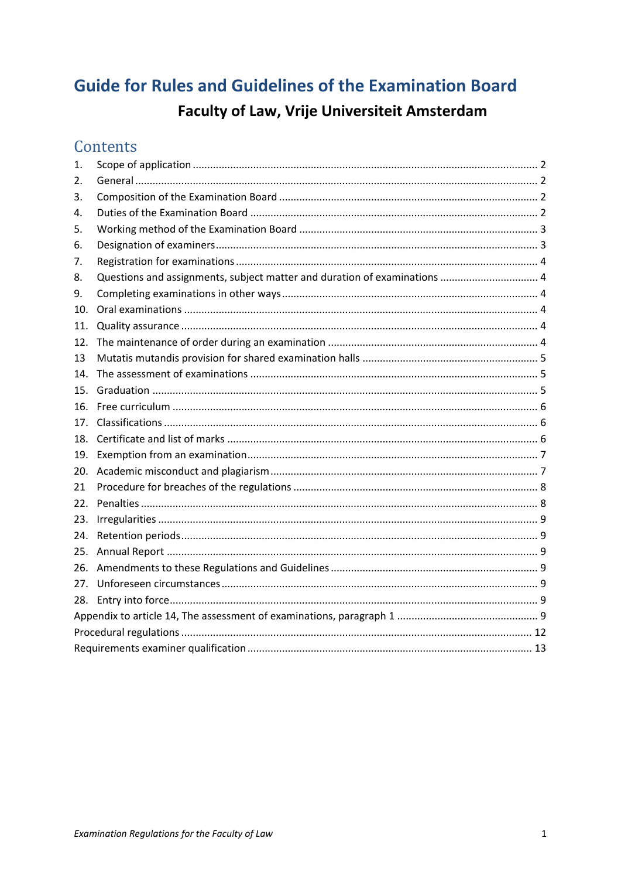# **Guide for Rules and Guidelines of the Examination Board** Faculty of Law, Vrije Universiteit Amsterdam

# Contents

| 1.  |                                                                           |  |  |  |  |  |
|-----|---------------------------------------------------------------------------|--|--|--|--|--|
| 2.  |                                                                           |  |  |  |  |  |
| 3.  |                                                                           |  |  |  |  |  |
| 4.  |                                                                           |  |  |  |  |  |
| 5.  |                                                                           |  |  |  |  |  |
| 6.  |                                                                           |  |  |  |  |  |
| 7.  |                                                                           |  |  |  |  |  |
| 8.  | Questions and assignments, subject matter and duration of examinations  4 |  |  |  |  |  |
| 9.  |                                                                           |  |  |  |  |  |
| 10. |                                                                           |  |  |  |  |  |
| 11. |                                                                           |  |  |  |  |  |
| 12. |                                                                           |  |  |  |  |  |
| 13  |                                                                           |  |  |  |  |  |
| 14. |                                                                           |  |  |  |  |  |
| 15. |                                                                           |  |  |  |  |  |
| 16. |                                                                           |  |  |  |  |  |
| 17. |                                                                           |  |  |  |  |  |
| 18. |                                                                           |  |  |  |  |  |
| 19. |                                                                           |  |  |  |  |  |
| 20. |                                                                           |  |  |  |  |  |
| 21  |                                                                           |  |  |  |  |  |
| 22. |                                                                           |  |  |  |  |  |
| 23. |                                                                           |  |  |  |  |  |
| 24. |                                                                           |  |  |  |  |  |
| 25. |                                                                           |  |  |  |  |  |
| 26. |                                                                           |  |  |  |  |  |
| 27. |                                                                           |  |  |  |  |  |
| 28. |                                                                           |  |  |  |  |  |
|     |                                                                           |  |  |  |  |  |
|     |                                                                           |  |  |  |  |  |
|     |                                                                           |  |  |  |  |  |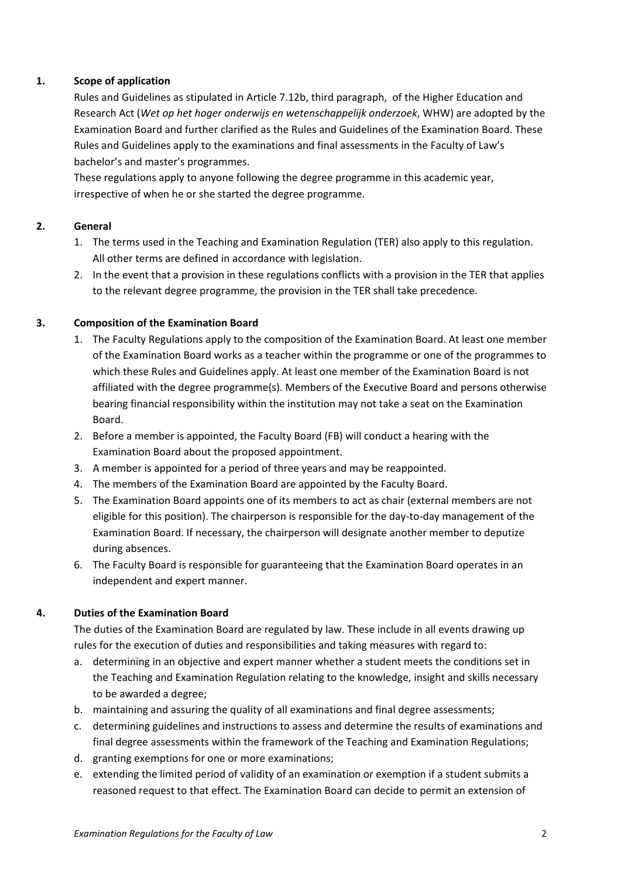# <span id="page-1-0"></span>**1. Scope of application**

Rules and Guidelines as stipulated in Article 7.12b, third paragraph, of the Higher Education and Research Act (*Wet op het hoger onderwijs en wetenschappelijk onderzoek*, WHW) are adopted by the Examination Board and further clarified as the Rules and Guidelines of the Examination Board. These Rules and Guidelines apply to the examinations and final assessments in the Faculty of Law's bachelor's and master's programmes.

These regulations apply to anyone following the degree programme in this academic year, irrespective of when he or she started the degree programme.

# <span id="page-1-1"></span>**2. General**

- 1. The terms used in the Teaching and Examination Regulation (TER) also apply to this regulation. All other terms are defined in accordance with legislation.
- 2. In the event that a provision in these regulations conflicts with a provision in the TER that applies to the relevant degree programme, the provision in the TER shall take precedence.

# <span id="page-1-2"></span>**3. Composition of the Examination Board**

- 1. The Faculty Regulations apply to the composition of the Examination Board. At least one member of the Examination Board works as a teacher within the programme or one of the programmes to which these Rules and Guidelines apply. At least one member of the Examination Board is not affiliated with the degree programme(s). Members of the Executive Board and persons otherwise bearing financial responsibility within the institution may not take a seat on the Examination Board.
- 2. Before a member is appointed, the Faculty Board (FB) will conduct a hearing with the Examination Board about the proposed appointment.
- 3. A member is appointed for a period of three years and may be reappointed.
- 4. The members of the Examination Board are appointed by the Faculty Board.
- 5. The Examination Board appoints one of its members to act as chair (external members are not eligible for this position). The chairperson is responsible for the day-to-day management of the Examination Board. If necessary, the chairperson will designate another member to deputize during absences.
- 6. The Faculty Board is responsible for guaranteeing that the Examination Board operates in an independent and expert manner.

# <span id="page-1-3"></span>**4. Duties of the Examination Board**

The duties of the Examination Board are regulated by law. These include in all events drawing up rules for the execution of duties and responsibilities and taking measures with regard to:

- a. determining in an objective and expert manner whether a student meets the conditions set in the Teaching and Examination Regulation relating to the knowledge, insight and skills necessary to be awarded a degree;
- b. maintaining and assuring the quality of all examinations and final degree assessments;
- c. determining guidelines and instructions to assess and determine the results of examinations and final degree assessments within the framework of the Teaching and Examination Regulations;
- d. granting exemptions for one or more examinations;
- e. extending the limited period of validity of an examination or exemption if a student submits a reasoned request to that effect. The Examination Board can decide to permit an extension of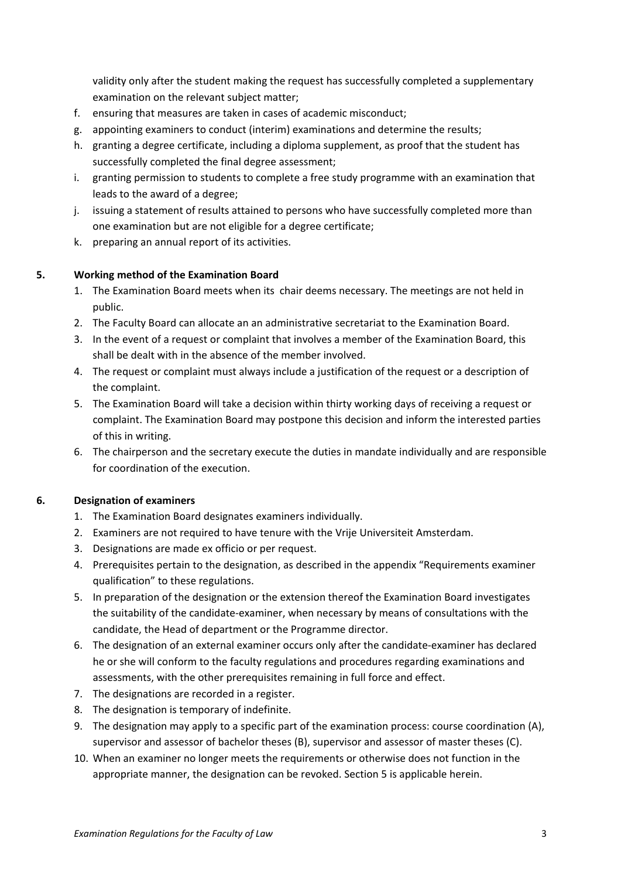validity only after the student making the request has successfully completed a supplementary examination on the relevant subject matter;

- f. ensuring that measures are taken in cases of academic misconduct;
- g. appointing examiners to conduct (interim) examinations and determine the results;
- h. granting a degree certificate, including a diploma supplement, as proof that the student has successfully completed the final degree assessment;
- i. granting permission to students to complete a free study programme with an examination that leads to the award of a degree;
- j. issuing a statement of results attained to persons who have successfully completed more than one examination but are not eligible for a degree certificate;
- k. preparing an annual report of its activities.

#### <span id="page-2-0"></span>**5. Working method of the Examination Board**

- 1. The Examination Board meets when its chair deems necessary. The meetings are not held in public.
- 2. The Faculty Board can allocate an an administrative secretariat to the Examination Board.
- 3. In the event of a request or complaint that involves a member of the Examination Board, this shall be dealt with in the absence of the member involved.
- 4. The request or complaint must always include a justification of the request or a description of the complaint.
- 5. The Examination Board will take a decision within thirty working days of receiving a request or complaint. The Examination Board may postpone this decision and inform the interested parties of this in writing.
- 6. The chairperson and the secretary execute the duties in mandate individually and are responsible for coordination of the execution.

#### <span id="page-2-1"></span>**6. Designation of examiners**

- 1. The Examination Board designates examiners individually.
- 2. Examiners are not required to have tenure with the Vrije Universiteit Amsterdam.
- 3. Designations are made ex officio or per request.
- 4. Prerequisites pertain to the designation, as described in the appendix "Requirements examiner qualification" to these regulations.
- 5. In preparation of the designation or the extension thereof the Examination Board investigates the suitability of the candidate-examiner, when necessary by means of consultations with the candidate, the Head of department or the Programme director.
- 6. The designation of an external examiner occurs only after the candidate-examiner has declared he or she will conform to the faculty regulations and procedures regarding examinations and assessments, with the other prerequisites remaining in full force and effect.
- 7. The designations are recorded in a register.
- 8. The designation is temporary of indefinite.
- 9. The designation may apply to a specific part of the examination process: course coordination (A), supervisor and assessor of bachelor theses (B), supervisor and assessor of master theses (C).
- 10. When an examiner no longer meets the requirements or otherwise does not function in the appropriate manner, the designation can be revoked. Section 5 is applicable herein.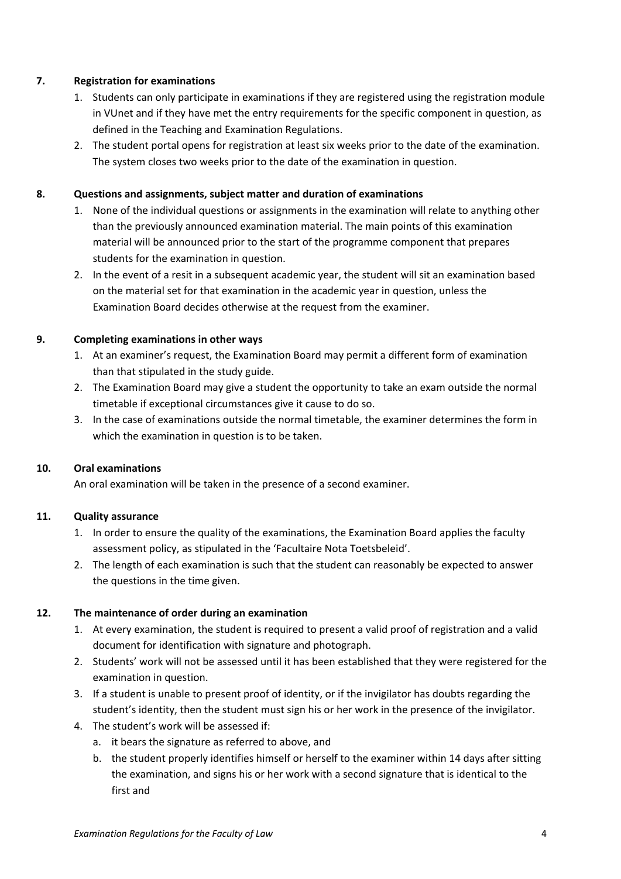# <span id="page-3-0"></span>**7. Registration for examinations**

- 1. Students can only participate in examinations if they are registered using the registration module in VUnet and if they have met the entry requirements for the specific component in question, as defined in the Teaching and Examination Regulations.
- 2. The student portal opens for registration at least six weeks prior to the date of the examination. The system closes two weeks prior to the date of the examination in question.

# <span id="page-3-1"></span>**8. Questions and assignments, subject matter and duration of examinations**

- 1. None of the individual questions or assignments in the examination will relate to anything other than the previously announced examination material. The main points of this examination material will be announced prior to the start of the programme component that prepares students for the examination in question.
- 2. In the event of a resit in a subsequent academic year, the student will sit an examination based on the material set for that examination in the academic year in question, unless the Examination Board decides otherwise at the request from the examiner.

# <span id="page-3-2"></span>**9. Completing examinations in other ways**

- 1. At an examiner's request, the Examination Board may permit a different form of examination than that stipulated in the study guide.
- 2. The Examination Board may give a student the opportunity to take an exam outside the normal timetable if exceptional circumstances give it cause to do so.
- 3. In the case of examinations outside the normal timetable, the examiner determines the form in which the examination in question is to be taken.

# <span id="page-3-3"></span>**10. Oral examinations**

An oral examination will be taken in the presence of a second examiner.

# <span id="page-3-4"></span>**11. Quality assurance**

- 1. In order to ensure the quality of the examinations, the Examination Board applies the faculty assessment policy, as stipulated in the 'Facultaire Nota Toetsbeleid'.
- 2. The length of each examination is such that the student can reasonably be expected to answer the questions in the time given.

# <span id="page-3-5"></span>**12. The maintenance of order during an examination**

- 1. At every examination, the student is required to present a valid proof of registration and a valid document for identification with signature and photograph.
- 2. Students' work will not be assessed until it has been established that they were registered for the examination in question.
- 3. If a student is unable to present proof of identity, or if the invigilator has doubts regarding the student's identity, then the student must sign his or her work in the presence of the invigilator.
- 4. The student's work will be assessed if:
	- a. it bears the signature as referred to above, and
	- b. the student properly identifies himself or herself to the examiner within 14 days after sitting the examination, and signs his or her work with a second signature that is identical to the first and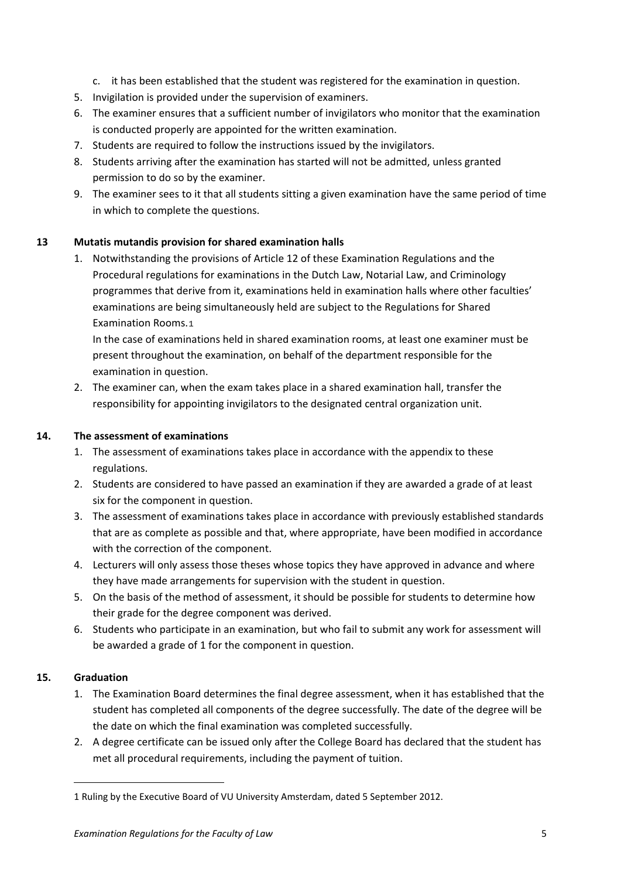- c. it has been established that the student was registered for the examination in question.
- 5. Invigilation is provided under the supervision of examiners.
- 6. The examiner ensures that a sufficient number of invigilators who monitor that the examination is conducted properly are appointed for the written examination.
- 7. Students are required to follow the instructions issued by the invigilators.
- 8. Students arriving after the examination has started will not be admitted, unless granted permission to do so by the examiner.
- 9. The examiner sees to it that all students sitting a given examination have the same period of time in which to complete the questions.

# <span id="page-4-0"></span>**13 Mutatis mutandis provision for shared examination halls**

1. Notwithstanding the provisions of Article 12 of these Examination Regulations and the Procedural regulations for examinations in the Dutch Law, Notarial Law, and Criminology programmes that derive from it, examinations held in examination halls where other faculties' examinations are being simultaneously held are subject to the Regulations for Shared Examination Rooms.[1](#page-4-3)

In the case of examinations held in shared examination rooms, at least one examiner must be present throughout the examination, on behalf of the department responsible for the examination in question.

2. The examiner can, when the exam takes place in a shared examination hall, transfer the responsibility for appointing invigilators to the designated central organization unit.

# <span id="page-4-1"></span>**14. The assessment of examinations**

- 1. The assessment of examinations takes place in accordance with the appendix to these regulations.
- 2. Students are considered to have passed an examination if they are awarded a grade of at least six for the component in question.
- 3. The assessment of examinations takes place in accordance with previously established standards that are as complete as possible and that, where appropriate, have been modified in accordance with the correction of the component.
- 4. Lecturers will only assess those theses whose topics they have approved in advance and where they have made arrangements for supervision with the student in question.
- 5. On the basis of the method of assessment, it should be possible for students to determine how their grade for the degree component was derived.
- 6. Students who participate in an examination, but who fail to submit any work for assessment will be awarded a grade of 1 for the component in question.

# <span id="page-4-2"></span>**15. Graduation**

<u>.</u>

- 1. The Examination Board determines the final degree assessment, when it has established that the student has completed all components of the degree successfully. The date of the degree will be the date on which the final examination was completed successfully.
- 2. A degree certificate can be issued only after the College Board has declared that the student has met all procedural requirements, including the payment of tuition.

<span id="page-4-3"></span><sup>1</sup> Ruling by the Executive Board of VU University Amsterdam, dated 5 September 2012.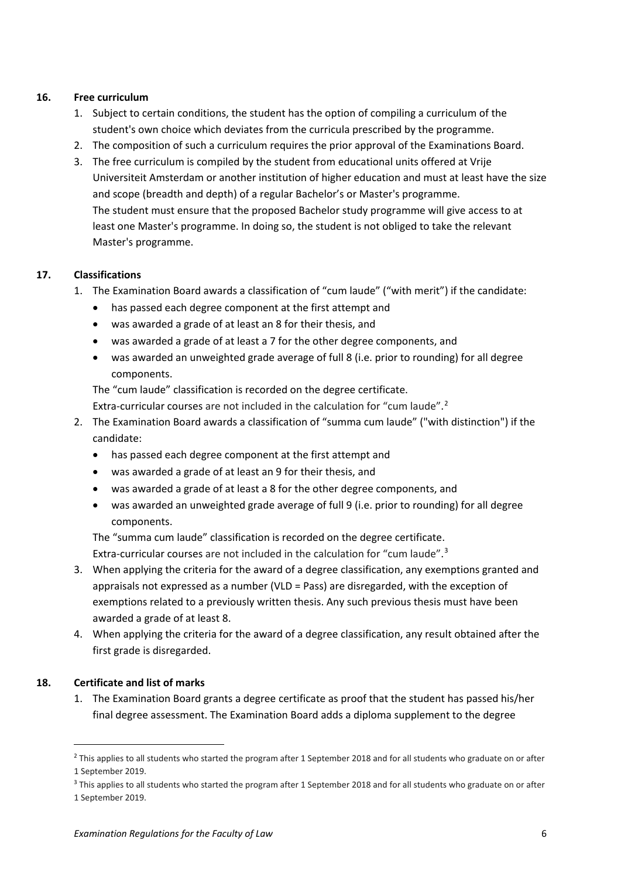#### <span id="page-5-0"></span>**16. Free curriculum**

- 1. Subject to certain conditions, the student has the option of compiling a curriculum of the student's own choice which deviates from the curricula prescribed by the programme.
- 2. The composition of such a curriculum requires the prior approval of the Examinations Board.
- 3. The free curriculum is compiled by the student from educational units offered at Vrije Universiteit Amsterdam or another institution of higher education and must at least have the size and scope (breadth and depth) of a regular Bachelor's or Master's programme. The student must ensure that the proposed Bachelor study programme will give access to at least one Master's programme. In doing so, the student is not obliged to take the relevant Master's programme.

# <span id="page-5-1"></span>**17. Classifications**

- 1. The Examination Board awards a classification of "cum laude" ("with merit") if the candidate:
	- has passed each degree component at the first attempt and
	- was awarded a grade of at least an 8 for their thesis, and
	- was awarded a grade of at least a 7 for the other degree components, and
	- was awarded an unweighted grade average of full 8 (i.e. prior to rounding) for all degree components.

The "cum laude" classification is recorded on the degree certificate.

Extra-curricular courses are not included in the calculation for "cum laude".<sup>[2](#page-5-3)</sup>

- 2. The Examination Board awards a classification of "summa cum laude" ("with distinction") if the candidate:
	- has passed each degree component at the first attempt and
	- was awarded a grade of at least an 9 for their thesis, and
	- was awarded a grade of at least a 8 for the other degree components, and
	- was awarded an unweighted grade average of full 9 (i.e. prior to rounding) for all degree components.

The "summa cum laude" classification is recorded on the degree certificate. Extra-curricular courses are not included in the calculation for "cum laude".<sup>[3](#page-5-4)</sup>

- 3. When applying the criteria for the award of a degree classification, any exemptions granted and appraisals not expressed as a number (VLD = Pass) are disregarded, with the exception of exemptions related to a previously written thesis. Any such previous thesis must have been awarded a grade of at least 8.
- 4. When applying the criteria for the award of a degree classification, any result obtained after the first grade is disregarded.

# <span id="page-5-2"></span>**18. Certificate and list of marks**

1. The Examination Board grants a degree certificate as proof that the student has passed his/her final degree assessment. The Examination Board adds a diploma supplement to the degree

<span id="page-5-3"></span><sup>&</sup>lt;sup>2</sup> This applies to all students who started the program after 1 September 2018 and for all students who graduate on or after 1 September 2019.

<span id="page-5-4"></span><sup>&</sup>lt;sup>3</sup> This applies to all students who started the program after 1 September 2018 and for all students who graduate on or after 1 September 2019.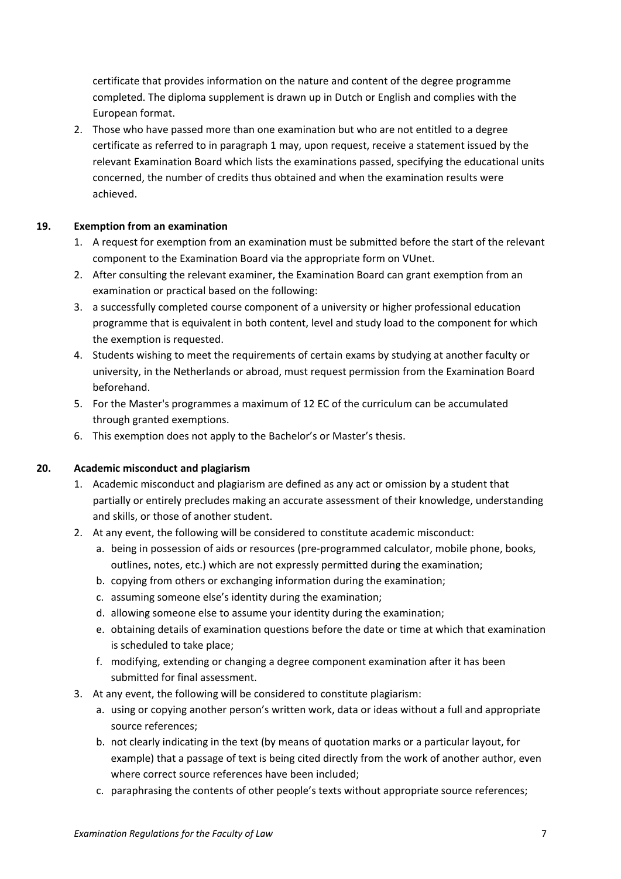certificate that provides information on the nature and content of the degree programme completed. The diploma supplement is drawn up in Dutch or English and complies with the European format.

2. Those who have passed more than one examination but who are not entitled to a degree certificate as referred to in paragraph 1 may, upon request, receive a statement issued by the relevant Examination Board which lists the examinations passed, specifying the educational units concerned, the number of credits thus obtained and when the examination results were achieved.

#### <span id="page-6-0"></span>**19. Exemption from an examination**

- 1. A request for exemption from an examination must be submitted before the start of the relevant component to the Examination Board via the appropriate form on VUnet.
- 2. After consulting the relevant examiner, the Examination Board can grant exemption from an examination or practical based on the following:
- 3. a successfully completed course component of a university or higher professional education programme that is equivalent in both content, level and study load to the component for which the exemption is requested.
- 4. Students wishing to meet the requirements of certain exams by studying at another faculty or university, in the Netherlands or abroad, must request permission from the Examination Board beforehand.
- 5. For the Master's programmes a maximum of 12 EC of the curriculum can be accumulated through granted exemptions.
- 6. This exemption does not apply to the Bachelor's or Master's thesis.

#### <span id="page-6-1"></span>**20. Academic misconduct and plagiarism**

- 1. Academic misconduct and plagiarism are defined as any act or omission by a student that partially or entirely precludes making an accurate assessment of their knowledge, understanding and skills, or those of another student.
- 2. At any event, the following will be considered to constitute academic misconduct:
	- a. being in possession of aids or resources (pre-programmed calculator, mobile phone, books, outlines, notes, etc.) which are not expressly permitted during the examination;
	- b. copying from others or exchanging information during the examination;
	- c. assuming someone else's identity during the examination;
	- d. allowing someone else to assume your identity during the examination;
	- e. obtaining details of examination questions before the date or time at which that examination is scheduled to take place;
	- f. modifying, extending or changing a degree component examination after it has been submitted for final assessment.
- 3. At any event, the following will be considered to constitute plagiarism:
	- a. using or copying another person's written work, data or ideas without a full and appropriate source references;
	- b. not clearly indicating in the text (by means of quotation marks or a particular layout, for example) that a passage of text is being cited directly from the work of another author, even where correct source references have been included;
	- c. paraphrasing the contents of other people's texts without appropriate source references;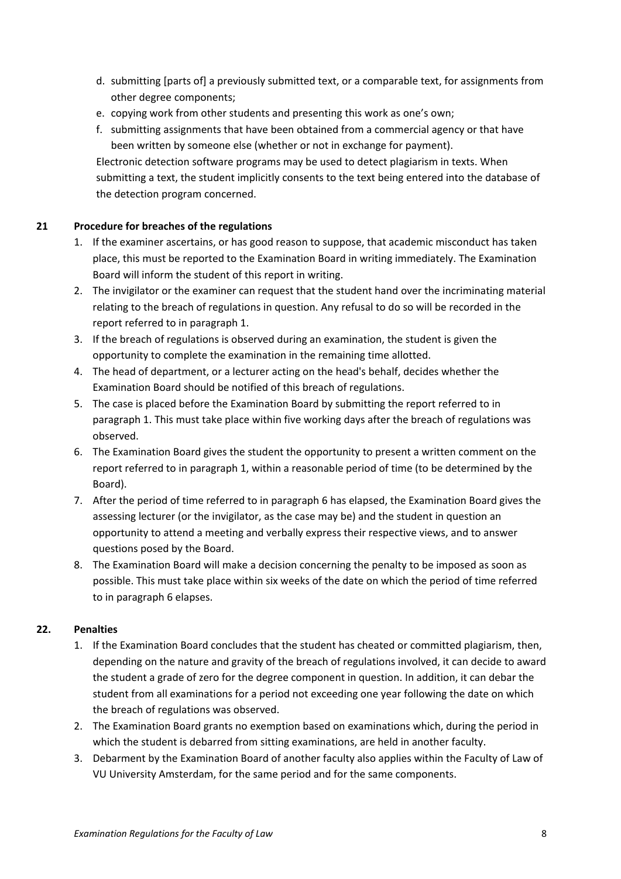- d. submitting [parts of] a previously submitted text, or a comparable text, for assignments from other degree components;
- e. copying work from other students and presenting this work as one's own;
- f. submitting assignments that have been obtained from a commercial agency or that have been written by someone else (whether or not in exchange for payment).

Electronic detection software programs may be used to detect plagiarism in texts. When submitting a text, the student implicitly consents to the text being entered into the database of the detection program concerned.

# <span id="page-7-0"></span>**21 Procedure for breaches of the regulations**

- 1. If the examiner ascertains, or has good reason to suppose, that academic misconduct has taken place, this must be reported to the Examination Board in writing immediately. The Examination Board will inform the student of this report in writing.
- 2. The invigilator or the examiner can request that the student hand over the incriminating material relating to the breach of regulations in question. Any refusal to do so will be recorded in the report referred to in paragraph 1.
- 3. If the breach of regulations is observed during an examination, the student is given the opportunity to complete the examination in the remaining time allotted.
- 4. The head of department, or a lecturer acting on the head's behalf, decides whether the Examination Board should be notified of this breach of regulations.
- 5. The case is placed before the Examination Board by submitting the report referred to in paragraph 1. This must take place within five working days after the breach of regulations was observed.
- 6. The Examination Board gives the student the opportunity to present a written comment on the report referred to in paragraph 1, within a reasonable period of time (to be determined by the Board).
- 7. After the period of time referred to in paragraph 6 has elapsed, the Examination Board gives the assessing lecturer (or the invigilator, as the case may be) and the student in question an opportunity to attend a meeting and verbally express their respective views, and to answer questions posed by the Board.
- 8. The Examination Board will make a decision concerning the penalty to be imposed as soon as possible. This must take place within six weeks of the date on which the period of time referred to in paragraph 6 elapses.

# <span id="page-7-1"></span>**22. Penalties**

- 1. If the Examination Board concludes that the student has cheated or committed plagiarism, then, depending on the nature and gravity of the breach of regulations involved, it can decide to award the student a grade of zero for the degree component in question. In addition, it can debar the student from all examinations for a period not exceeding one year following the date on which the breach of regulations was observed.
- 2. The Examination Board grants no exemption based on examinations which, during the period in which the student is debarred from sitting examinations, are held in another faculty.
- 3. Debarment by the Examination Board of another faculty also applies within the Faculty of Law of VU University Amsterdam, for the same period and for the same components.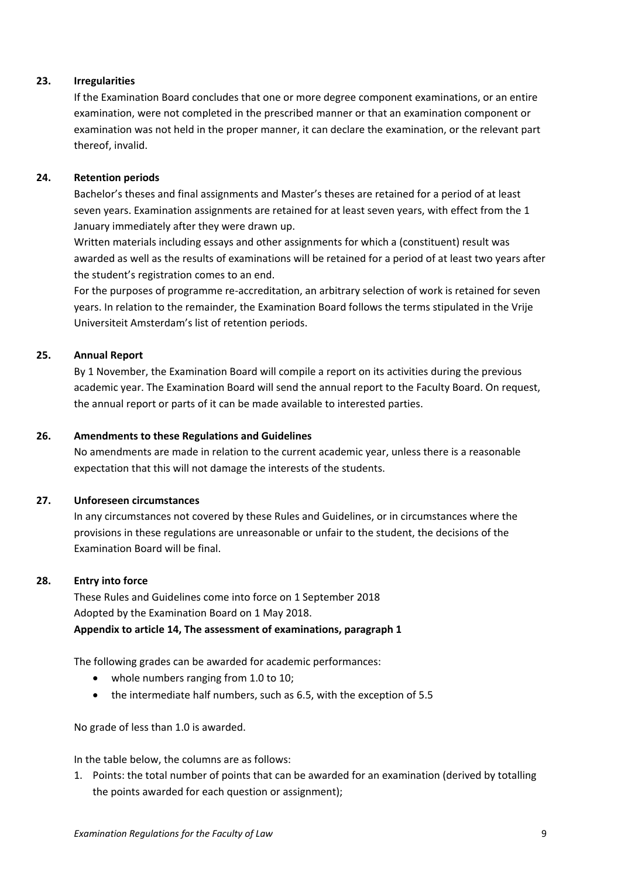#### <span id="page-8-0"></span>**23. Irregularities**

If the Examination Board concludes that one or more degree component examinations, or an entire examination, were not completed in the prescribed manner or that an examination component or examination was not held in the proper manner, it can declare the examination, or the relevant part thereof, invalid.

#### <span id="page-8-1"></span>**24. Retention periods**

Bachelor's theses and final assignments and Master's theses are retained for a period of at least seven years. Examination assignments are retained for at least seven years, with effect from the 1 January immediately after they were drawn up.

Written materials including essays and other assignments for which a (constituent) result was awarded as well as the results of examinations will be retained for a period of at least two years after the student's registration comes to an end.

For the purposes of programme re-accreditation, an arbitrary selection of work is retained for seven years. In relation to the remainder, the Examination Board follows the terms stipulated in the Vrije Universiteit Amsterdam's list of retention periods.

#### <span id="page-8-2"></span>**25. Annual Report**

By 1 November, the Examination Board will compile a report on its activities during the previous academic year. The Examination Board will send the annual report to the Faculty Board. On request, the annual report or parts of it can be made available to interested parties.

#### <span id="page-8-3"></span>**26. Amendments to these Regulations and Guidelines**

No amendments are made in relation to the current academic year, unless there is a reasonable expectation that this will not damage the interests of the students.

#### <span id="page-8-4"></span>**27. Unforeseen circumstances**

In any circumstances not covered by these Rules and Guidelines, or in circumstances where the provisions in these regulations are unreasonable or unfair to the student, the decisions of the Examination Board will be final.

#### <span id="page-8-5"></span>**28. Entry into force**

<span id="page-8-6"></span>These Rules and Guidelines come into force on 1 September 2018 Adopted by the Examination Board on 1 May 2018. **Appendix to article 14, The assessment of examinations, paragraph 1**

The following grades can be awarded for academic performances:

- whole numbers ranging from 1.0 to 10;
- the intermediate half numbers, such as 6.5, with the exception of 5.5

No grade of less than 1.0 is awarded.

In the table below, the columns are as follows:

1. Points: the total number of points that can be awarded for an examination (derived by totalling the points awarded for each question or assignment);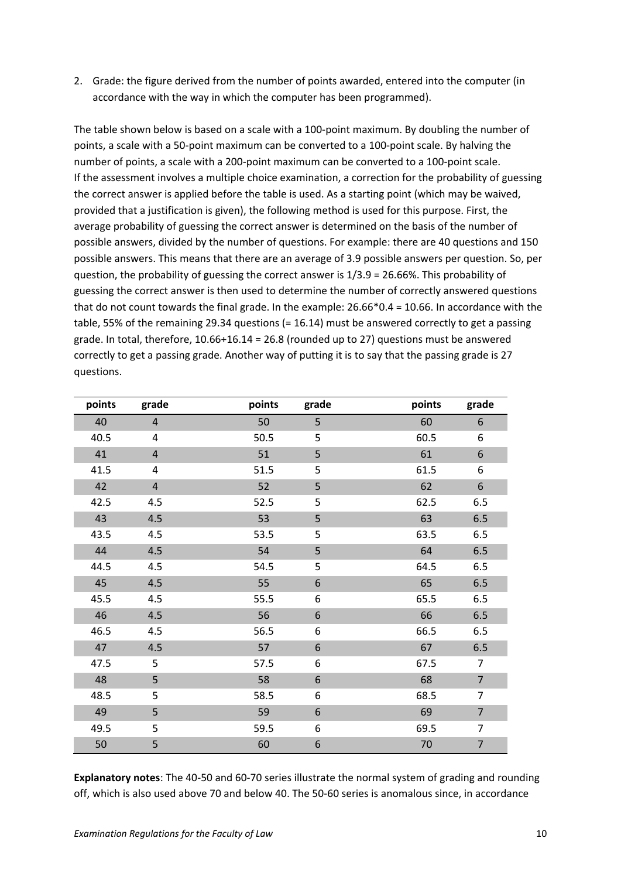2. Grade: the figure derived from the number of points awarded, entered into the computer (in accordance with the way in which the computer has been programmed).

The table shown below is based on a scale with a 100-point maximum. By doubling the number of points, a scale with a 50-point maximum can be converted to a 100-point scale. By halving the number of points, a scale with a 200-point maximum can be converted to a 100-point scale. If the assessment involves a multiple choice examination, a correction for the probability of guessing the correct answer is applied before the table is used. As a starting point (which may be waived, provided that a justification is given), the following method is used for this purpose. First, the average probability of guessing the correct answer is determined on the basis of the number of possible answers, divided by the number of questions. For example: there are 40 questions and 150 possible answers. This means that there are an average of 3.9 possible answers per question. So, per question, the probability of guessing the correct answer is 1/3.9 = 26.66%. This probability of guessing the correct answer is then used to determine the number of correctly answered questions that do not count towards the final grade. In the example: 26.66\*0.4 = 10.66. In accordance with the table, 55% of the remaining 29.34 questions (= 16.14) must be answered correctly to get a passing grade. In total, therefore, 10.66+16.14 = 26.8 (rounded up to 27) questions must be answered correctly to get a passing grade. Another way of putting it is to say that the passing grade is 27 questions.

| points | grade          | points | grade            | points | grade            |
|--------|----------------|--------|------------------|--------|------------------|
| 40     | $\overline{4}$ | 50     | 5                | 60     | 6                |
| 40.5   | 4              | 50.5   | 5                | 60.5   | 6                |
| 41     | $\overline{4}$ | 51     | 5                | 61     | 6                |
| 41.5   | 4              | 51.5   | 5                | 61.5   | 6                |
| 42     | $\overline{4}$ | 52     | 5                | 62     | $\boldsymbol{6}$ |
| 42.5   | 4.5            | 52.5   | 5                | 62.5   | 6.5              |
| 43     | 4.5            | 53     | 5                | 63     | 6.5              |
| 43.5   | 4.5            | 53.5   | 5                | 63.5   | 6.5              |
| 44     | 4.5            | 54     | 5                | 64     | 6.5              |
| 44.5   | 4.5            | 54.5   | 5                | 64.5   | 6.5              |
| 45     | 4.5            | 55     | $\boldsymbol{6}$ | 65     | 6.5              |
| 45.5   | 4.5            | 55.5   | 6                | 65.5   | 6.5              |
| 46     | 4.5            | 56     | $\boldsymbol{6}$ | 66     | 6.5              |
| 46.5   | 4.5            | 56.5   | 6                | 66.5   | 6.5              |
| 47     | 4.5            | 57     | $\boldsymbol{6}$ | 67     | 6.5              |
| 47.5   | 5              | 57.5   | 6                | 67.5   | $\overline{7}$   |
| 48     | 5              | 58     | $\boldsymbol{6}$ | 68     | $\overline{7}$   |
| 48.5   | 5              | 58.5   | 6                | 68.5   | $\overline{7}$   |
| 49     | 5              | 59     | $\boldsymbol{6}$ | 69     | $\overline{7}$   |
| 49.5   | 5              | 59.5   | 6                | 69.5   | $\overline{7}$   |
| 50     | 5              | 60     | $\boldsymbol{6}$ | 70     | $\overline{7}$   |

**Explanatory notes**: The 40-50 and 60-70 series illustrate the normal system of grading and rounding off, which is also used above 70 and below 40. The 50-60 series is anomalous since, in accordance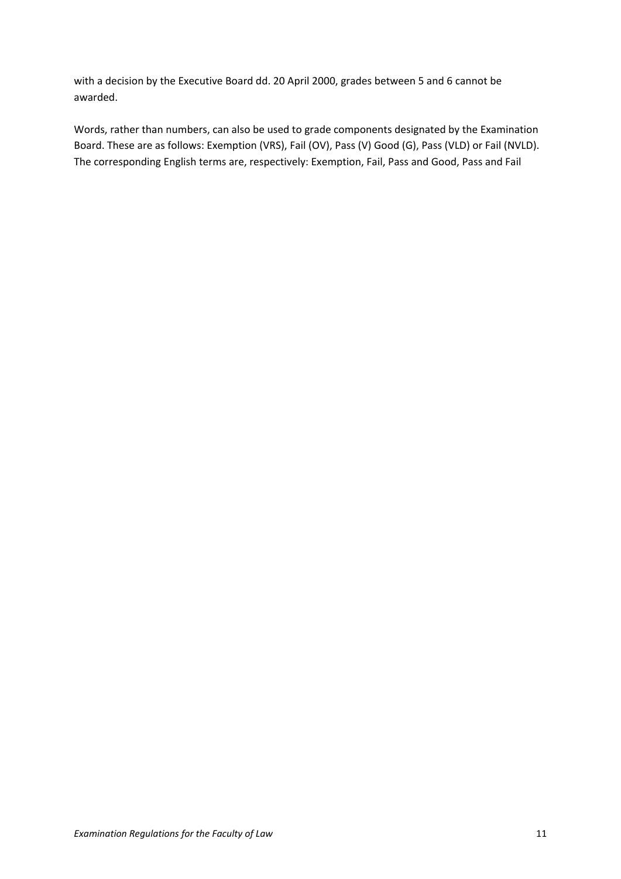with a decision by the Executive Board dd. 20 April 2000, grades between 5 and 6 cannot be awarded.

Words, rather than numbers, can also be used to grade components designated by the Examination Board. These are as follows: Exemption (VRS), Fail (OV), Pass (V) Good (G), Pass (VLD) or Fail (NVLD). The corresponding English terms are, respectively: Exemption, Fail, Pass and Good, Pass and Fail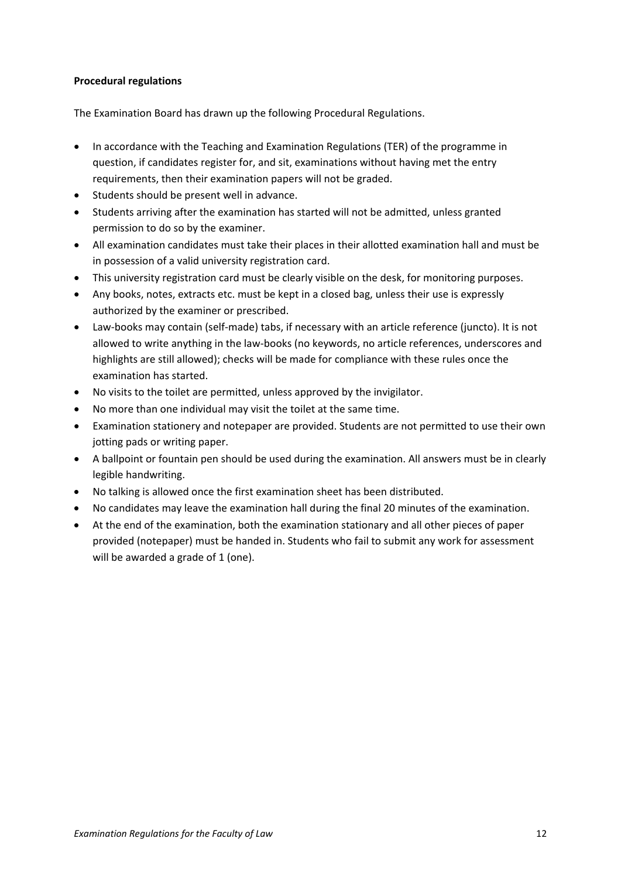#### <span id="page-11-0"></span>**Procedural regulations**

The Examination Board has drawn up the following Procedural Regulations.

- In accordance with the Teaching and Examination Regulations (TER) of the programme in question, if candidates register for, and sit, examinations without having met the entry requirements, then their examination papers will not be graded.
- Students should be present well in advance.
- Students arriving after the examination has started will not be admitted, unless granted permission to do so by the examiner.
- All examination candidates must take their places in their allotted examination hall and must be in possession of a valid university registration card.
- This university registration card must be clearly visible on the desk, for monitoring purposes.
- Any books, notes, extracts etc. must be kept in a closed bag, unless their use is expressly authorized by the examiner or prescribed.
- Law-books may contain (self-made) tabs, if necessary with an article reference (juncto). It is not allowed to write anything in the law-books (no keywords, no article references, underscores and highlights are still allowed); checks will be made for compliance with these rules once the examination has started.
- No visits to the toilet are permitted, unless approved by the invigilator.
- No more than one individual may visit the toilet at the same time.
- Examination stationery and notepaper are provided. Students are not permitted to use their own jotting pads or writing paper.
- A ballpoint or fountain pen should be used during the examination. All answers must be in clearly legible handwriting.
- No talking is allowed once the first examination sheet has been distributed.
- No candidates may leave the examination hall during the final 20 minutes of the examination.
- At the end of the examination, both the examination stationary and all other pieces of paper provided (notepaper) must be handed in. Students who fail to submit any work for assessment will be awarded a grade of 1 (one).